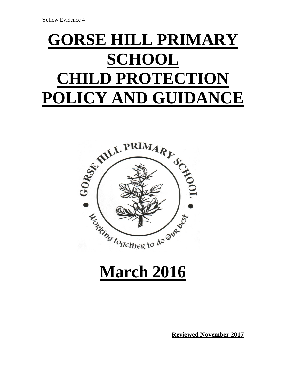# **GORSE HILL PRIMARY SCHOOL CHILD PROTECTION POLICY AND GUIDANCE**



## **March 2016**

**Reviewed November 2017**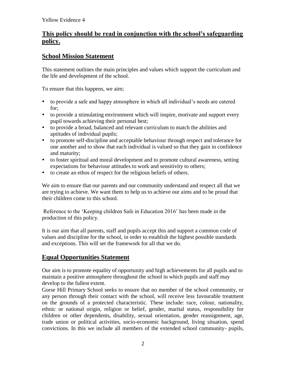## **This policy should be read in conjunction with the school's safeguarding policy.**

## **School Mission Statement**

This statement outlines the main principles and values which support the curriculum and the life and development of the school.

To ensure that this happens, we aim;

- to provide a safe and happy atmosphere in which all individual's needs are catered for;
- to provide a stimulating environment which will inspire, motivate and support every pupil towards achieving their personal best;
- to provide a broad, balanced and relevant curriculum to match the abilities and aptitudes of individual pupils;
- to promote self-discipline and acceptable behaviour through respect and tolerance for one another and to show that each individual is valued so that they gain in confidence and maturity;
- to foster spiritual and moral development and to promote cultural awareness, setting expectations for behaviour attitudes to work and sensitivity to others;
- to create an ethos of respect for the religious beliefs of others.

We aim to ensure that our parents and our community understand and respect all that we are trying to achieve. We want them to help us to achieve our aims and to be proud that their children come to this school.

Reference to the 'Keeping children Safe in Education 2016' has been made in the production of this policy.

It is our aim that all parents, staff and pupils accept this and support a common code of values and discipline for the school, in order to establish the highest possible standards and exceptions. This will set the framework for all that we do.

## **Equal Opportunities Statement**

Our aim is to promote equality of opportunity and high achievements for all pupils and to maintain a positive atmosphere throughout the school in which pupils and staff may develop to the fullest extent.

Gorse Hill Primary School seeks to ensure that no member of the school community, or any person through their contact with the school, will receive less favourable treatment on the grounds of a protected characteristic. These include: race, colour, nationality, ethnic or national origin, religion or belief, gender, marital status, responsibility for children or other dependents, disability, sexual orientation, gender reassignment, age, trade union or political activities, socio-economic background, living situation, spend convictions. In this we include all members of the extended school community- pupils,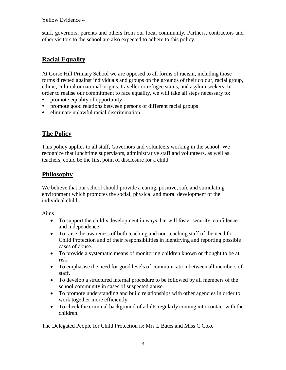staff, governors, parents and others from our local community. Partners, contractors and other visitors to the school are also expected to adhere to this policy.

## **Racial Equality**

At Gorse Hill Primary School we are opposed to all forms of racism, including those forms directed against individuals and groups on the grounds of their colour, racial group, ethnic, cultural or national origins, traveller or refugee status, and asylum seekers. In order to realise our commitment to race equality, we will take all steps necessary to:

- promote equality of opportunity
- promote good relations between persons of different racial groups
- eliminate unlawful racial discrimination

## **The Policy**

This policy applies to all staff, Governors and volunteers working in the school. We recognize that lunchtime supervisors, administrative staff and volunteers, as well as teachers, could be the first point of disclosure for a child.

## **Philosophy**

We believe that our school should provide a caring, positive, safe and stimulating environment which promotes the social, physical and moral development of the individual child.

Aims

- To support the child's development in ways that will foster security, confidence and independence
- To raise the awareness of both teaching and non-teaching staff of the need for Child Protection and of their responsibilities in identifying and reporting possible cases of abuse.
- To provide a systematic means of monitoring children known or thought to be at risk
- To emphasise the need for good levels of communication between all members of staff.
- To develop a structured internal procedure to be followed by all members of the school community in cases of suspected abuse.
- To promote understanding and build relationships with other agencies in order to work together more efficiently
- To check the criminal background of adults regularly coming into contact with the children.

The Delegated People for Child Protection is: Mrs L Bates and Miss C Coxe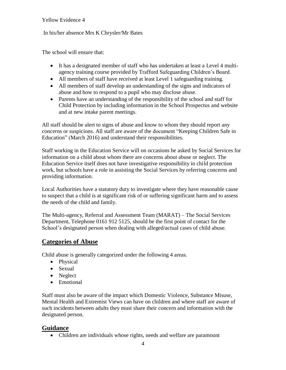#### In his/her absence Mrs K Chrysler/Mr Bates

The school will ensure that:

- It has a designated member of staff who has undertaken at least a Level 4 multiagency training course provided by Trafford Safeguarding Children's Board.
- All members of staff have received at least Level 1 safeguarding training.
- All members of staff develop an understanding of the signs and indicators of abuse and how to respond to a pupil who may disclose abuse.
- Parents have an understanding of the responsibility of the school and staff for Child Protection by including information in the School Prospectus and website and at new intake parent meetings.

All staff should be alert to signs of abuse and know to whom they should report any concerns or suspicions. All staff are aware of the document "Keeping Children Safe in Education" (March 2016) and understand their responsibilities.

Staff working in the Education Service will on occasions be asked by Social Services for information on a child about whom there are concerns about abuse or neglect. The Education Service itself does not have investigative responsibility in child protection work, but schools have a role in assisting the Social Services by referring concerns and providing information.

Local Authorities have a statutory duty to investigate where they have reasonable cause to suspect that a child is at significant risk of or suffering significant harm and to assess the needs of the child and family.

The Multi-agency, Referral and Assessment Team (MARAT) – The Social Services Department, Telephone 0161 912 5125, should be the first point of contact for the School's designated person when dealing with alleged/actual cases of child abuse.

#### **Categories of Abuse**

Child abuse is generally categorized under the following 4 areas.

- Physical
- Sexual
- Neglect
- Emotional

Staff must also be aware of the impact which Domestic Violence, Substance Misuse, Mental Health and Extremist Views can have on children and where staff are aware of such incidents between adults they must share their concern and information with the designated person.

#### **Guidance**

Children are individuals whose rights, needs and welfare are paramount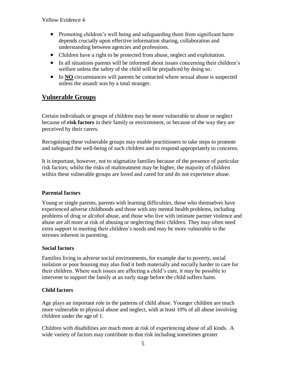- Promoting children's well being and safeguarding them from significant harm depends crucially upon effective information sharing, collaboration and understanding between agencies and professions.
- Children have a right to be protected from abuse, neglect and exploitation.
- In all situations parents will be informed about issues concerning their children's welfare unless the safety of the child will be prejudiced by doing so.
- In **NO** circumstances will parents be contacted where sexual abuse is suspected unless the assault was by a total stranger.

## **Vulnerable Groups**

Certain individuals or groups of children may be more vulnerable to abuse or neglect because of **risk factors** in their family or environment, or because of the way they are perceived by their carers.

Recognising these vulnerable groups may enable practitioners to take steps to promote and safeguard the well-being of such children and to respond appropriately to concerns.

It is important, however, not to stigmatize families because of the presence of particular risk factors; whilst the risks of maltreatment may be higher, the majority of children within these vulnerable groups are loved and cared for and do not experience abuse.

#### **Parental factors**

Young or single parents, parents with learning difficulties, those who themselves have experienced adverse childhoods and those with any mental health problems, including problems of drug or alcohol abuse, and those who live with intimate partner violence and abuse are all more at risk of abusing or neglecting their children. They may often need extra support in meeting their children's needs and may be more vulnerable to the stresses inherent in parenting.

#### **Social factors**

Families living in adverse social environments, for example due to poverty, social isolation or poor housing may also find it both materially and socially harder to care for their children. Where such issues are affecting a child's care, it may be possible to intervene to support the family at an early stage before the child suffers harm.

#### **Child factors**

Age plays an important role in the patterns of child abuse. Younger children are much more vulnerable to physical abuse and neglect, with at least 10% of all abuse involving children under the age of 1.

Children with disabilities are much more at risk of experiencing abuse of all kinds. A wide variety of factors may contribute to that risk including sometimes greater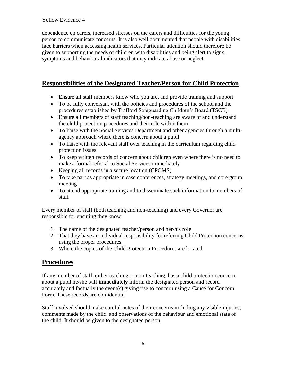dependence on carers, increased stresses on the carers and difficulties for the young person to communicate concerns. It is also well documented that people with disabilities face barriers when accessing health services. Particular attention should therefore be given to supporting the needs of children with disabilities and being alert to signs, symptoms and behavioural indicators that may indicate abuse or neglect.

## **Responsibilities of the Designated Teacher/Person for Child Protection**

- Ensure all staff members know who you are, and provide training and support
- To be fully conversant with the policies and procedures of the school and the procedures established by Trafford Safeguarding Children's Board (TSCB)
- Ensure all members of staff teaching/non-teaching are aware of and understand the child protection procedures and their role within them
- To liaise with the Social Services Department and other agencies through a multiagency approach where there is concern about a pupil
- To liaise with the relevant staff over teaching in the curriculum regarding child protection issues
- To keep written records of concern about children even where there is no need to make a formal referral to Social Services immediately
- Keeping all records in a secure location (CPOMS)
- To take part as appropriate in case conferences, strategy meetings, and core group meeting
- To attend appropriate training and to disseminate such information to members of staff

Every member of staff (both teaching and non-teaching) and every Governor are responsible for ensuring they know:

- 1. The name of the designated teacher/person and her/his role
- 2. That they have an individual responsibility for referring Child Protection concerns using the proper procedures
- 3. Where the copies of the Child Protection Procedures are located

## **Procedures**

If any member of staff, either teaching or non-teaching, has a child protection concern about a pupil he/she will **immediately** inform the designated person and record accurately and factually the event(s) giving rise to concern using a Cause for Concern Form. These records are confidential.

Staff involved should make careful notes of their concerns including any visible injuries, comments made by the child, and observations of the behaviour and emotional state of the child. It should be given to the designated person.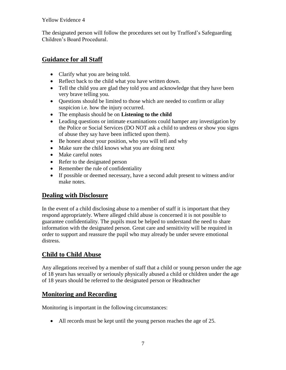The designated person will follow the procedures set out by Trafford's Safeguarding Children's Board Procedural.

## **Guidance for all Staff**

- Clarify what you are being told.
- Reflect back to the child what you have written down.
- Tell the child you are glad they told you and acknowledge that they have been very brave telling you.
- Questions should be limited to those which are needed to confirm or allay suspicion i.e. how the injury occurred.
- The emphasis should be on **Listening to the child**
- Leading questions or intimate examinations could hamper any investigation by the Police or Social Services (DO NOT ask a child to undress or show you signs of abuse they say have been inflicted upon them).
- Be honest about your position, who you will tell and why
- Make sure the child knows what you are doing next
- Make careful notes
- Refer to the designated person
- Remember the rule of confidentiality
- If possible or deemed necessary, have a second adult present to witness and/or make notes.

## **Dealing with Disclosure**

In the event of a child disclosing abuse to a member of staff it is important that they respond appropriately. Where alleged child abuse is concerned it is not possible to guarantee confidentiality. The pupils must be helped to understand the need to share information with the designated person. Great care and sensitivity will be required in order to support and reassure the pupil who may already be under severe emotional distress.

## **Child to Child Abuse**

Any allegations received by a member of staff that a child or young person under the age of 18 years has sexually or seriously physically abused a child or children under the age of 18 years should be referred to the designated person or Headteacher

## **Monitoring and Recording**

Monitoring is important in the following circumstances:

All records must be kept until the young person reaches the age of 25.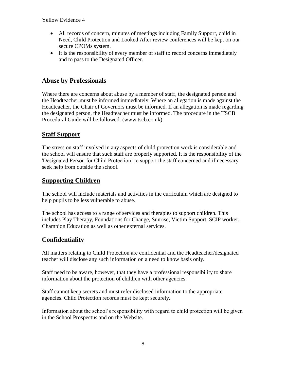- All records of concern, minutes of meetings including Family Support, child in Need, Child Protection and Looked After review conferences will be kept on our secure CPOMs system.
- It is the responsibility of every member of staff to record concerns immediately and to pass to the Designated Officer.

## **Abuse by Professionals**

Where there are concerns about abuse by a member of staff, the designated person and the Headteacher must be informed immediately. Where an allegation is made against the Headteacher, the Chair of Governors must be informed. If an allegation is made regarding the designated person, the Headteacher must be informed. The procedure in the TSCB Procedural Guide will be followed. (www.tscb.co.uk)

## **Staff Support**

The stress on staff involved in any aspects of child protection work is considerable and the school will ensure that such staff are properly supported. It is the responsibility of the 'Designated Person for Child Protection' to support the staff concerned and if necessary seek help from outside the school.

## **Supporting Children**

The school will include materials and activities in the curriculum which are designed to help pupils to be less vulnerable to abuse.

The school has access to a range of services and therapies to support children. This includes Play Therapy, Foundations for Change, Sunrise, Victim Support, SCIP worker, Champion Education as well as other external services.

## **Confidentiality**

All matters relating to Child Protection are confidential and the Headteacher/designated teacher will disclose any such information on a need to know basis only.

Staff need to be aware, however, that they have a professional responsibility to share information about the protection of children with other agencies.

Staff cannot keep secrets and must refer disclosed information to the appropriate agencies. Child Protection records must be kept securely.

Information about the school's responsibility with regard to child protection will be given in the School Prospectus and on the Website.